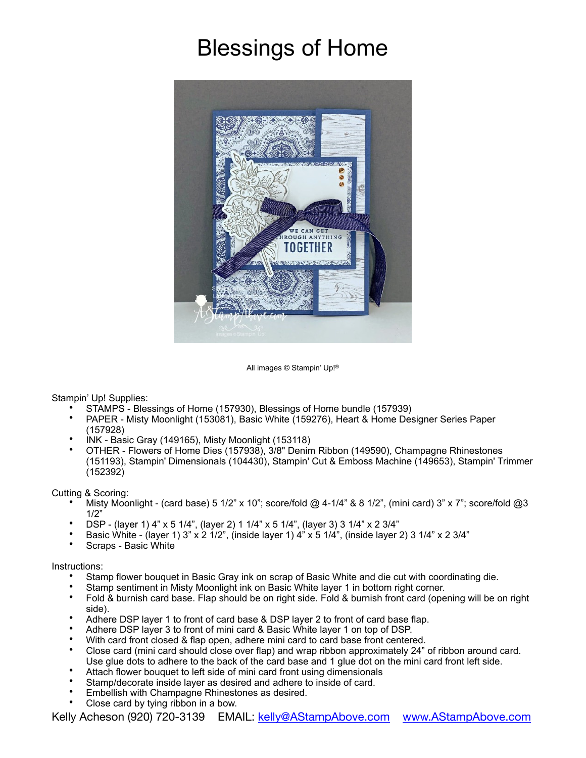## Blessings of Home



All images © Stampin' Up!®

Stampin' Up! Supplies:

- STAMPS Blessings of Home (157930), Blessings of Home bundle (157939)
- PAPER Misty Moonlight (153081), Basic White (159276), Heart & Home Designer Series Paper (157928)
- INK Basic Gray (149165), Misty Moonlight (153118)
- OTHER Flowers of Home Dies (157938), 3/8" Denim Ribbon (149590), Champagne Rhinestones (151193), Stampin' Dimensionals (104430), Stampin' Cut & Emboss Machine (149653), Stampin' Trimmer (152392)

Cutting & Scoring:

- Misty Moonlight (card base) 5 1/2" x 10"; score/fold @ 4-1/4" & 8 1/2", (mini card) 3" x 7"; score/fold @3 1/2"
- DSP (layer 1) 4" x 5 1/4", (layer 2) 1 1/4" x 5 1/4", (layer 3) 3 1/4" x 2 3/4"
- Basic White (layer 1) 3" x 2  $1/2$ ", (inside layer 1)  $4$ " x 5  $1/4$ ", (inside layer 2) 3  $1/4$ " x 2  $3/4$ "
- Scraps Basic White

Instructions:

- Stamp flower bouquet in Basic Gray ink on scrap of Basic White and die cut with coordinating die.
- Stamp sentiment in Misty Moonlight ink on Basic White layer 1 in bottom right corner.
- Fold & burnish card base. Flap should be on right side. Fold & burnish front card (opening will be on right side).
- Adhere DSP layer 1 to front of card base & DSP layer 2 to front of card base flap.
- Adhere DSP layer 3 to front of mini card & Basic White layer 1 on top of DSP.
- With card front closed & flap open, adhere mini card to card base front centered.
- Close card (mini card should close over flap) and wrap ribbon approximately 24" of ribbon around card. Use glue dots to adhere to the back of the card base and 1 glue dot on the mini card front left side.
- Attach flower bouquet to left side of mini card front using dimensionals
- Stamp/decorate inside layer as desired and adhere to inside of card.
- Embellish with Champagne Rhinestones as desired.
- Close card by tying ribbon in a bow.

Kelly Acheson (920) 720-3139 EMAIL: [kelly@AStampAbove.com](mailto:kelly@AStampAbove.com) [www.AStampAbove.com](http://www.AStampAbove.com)